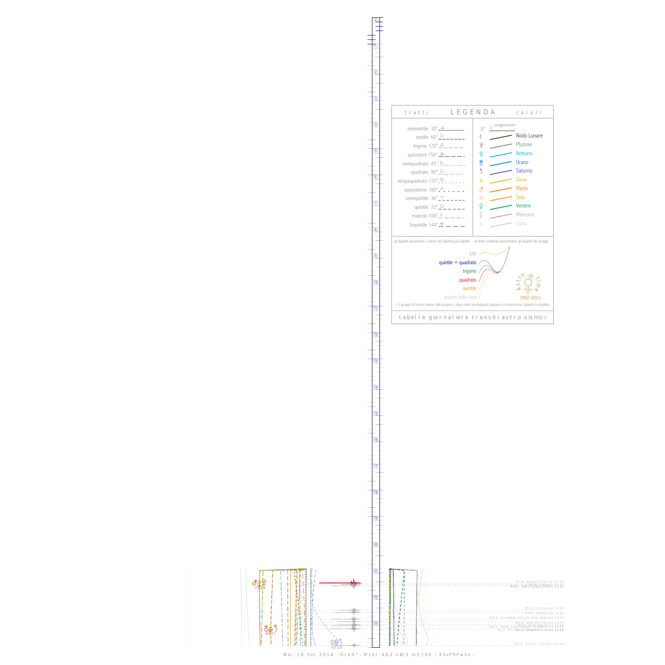